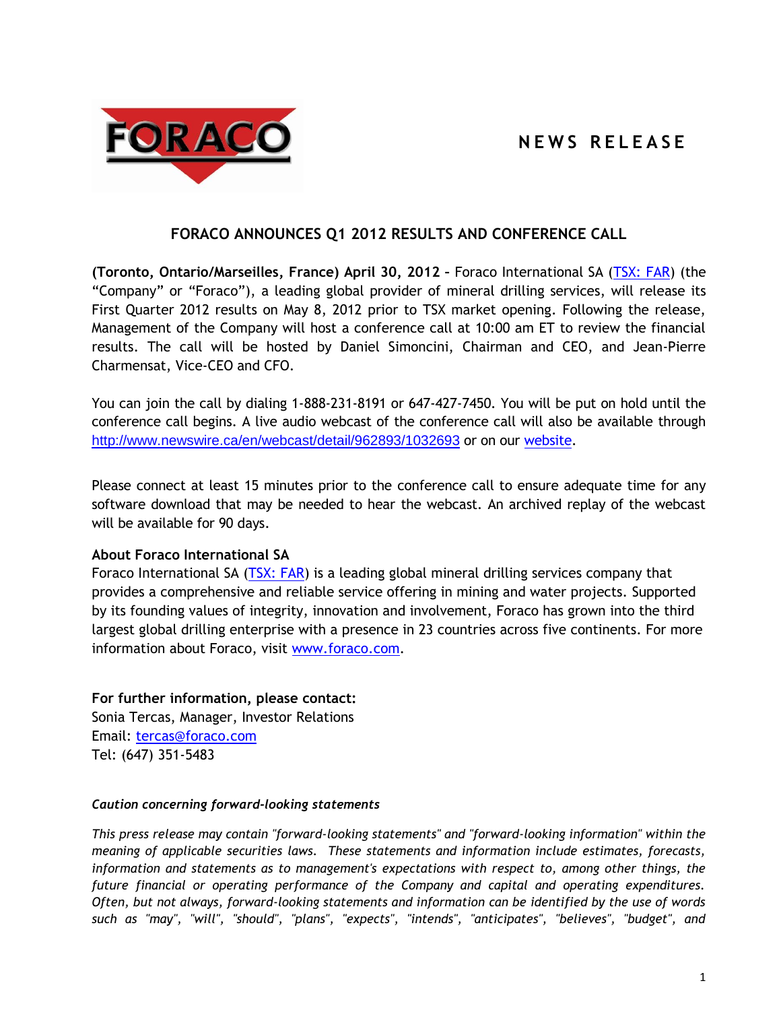## **N E W S R E L E A S E**



## **FORACO ANNOUNCES Q1 2012 RESULTS AND CONFERENCE CALL**

**(Toronto, Ontario/Marseilles, France) April 30, 2012 –** Foraco International SA [\(TSX: FAR\)](http://tmx.quotemedia.com/quote.php?qm_symbol=FAR) (the "Company" or "Foraco"), a leading global provider of mineral drilling services, will release its First Quarter 2012 results on May 8, 2012 prior to TSX market opening. Following the release, Management of the Company will host a conference call at 10:00 am ET to review the financial results. The call will be hosted by Daniel Simoncini, Chairman and CEO, and Jean-Pierre Charmensat, Vice-CEO and CFO.

You can join the call by dialing 1-888-231-8191 or 647-427-7450. You will be put on hold until the conference call begins. A live audio webcast of the conference call will also be available through <http://www.newswire.ca/en/webcast/detail/962893/1032693> or on our [website.](http://www.foraco.com/index.php/investors/events-a-earnings-calendar)

Please connect at least 15 minutes prior to the conference call to ensure adequate time for any software download that may be needed to hear the webcast. An archived replay of the webcast will be available for 90 days.

## **About Foraco International SA**

Foraco International SA [\(TSX: FAR\)](http://tmx.quotemedia.com/quote.php?qm_symbol=FAR) is a leading global mineral drilling services company that provides a comprehensive and reliable service offering in mining and water projects. Supported by its founding values of integrity, innovation and involvement, Foraco has grown into the third largest global drilling enterprise with a presence in 23 countries across five continents. For more information about Foraco, visit [www.foraco.com.](http://www.foraco.com/)

**For further information, please contact:** Sonia Tercas, Manager, Investor Relations Email: [tercas@foraco.com](mailto:tercas@foraco.com) Tel: (647) 351-5483

## *Caution concerning forward-looking statements*

*This press release may contain "forward-looking statements" and "forward-looking information" within the meaning of applicable securities laws. These statements and information include estimates, forecasts, information and statements as to management's expectations with respect to, among other things, the future financial or operating performance of the Company and capital and operating expenditures. Often, but not always, forward-looking statements and information can be identified by the use of words such as "may", "will", "should", "plans", "expects", "intends", "anticipates", "believes", "budget", and*